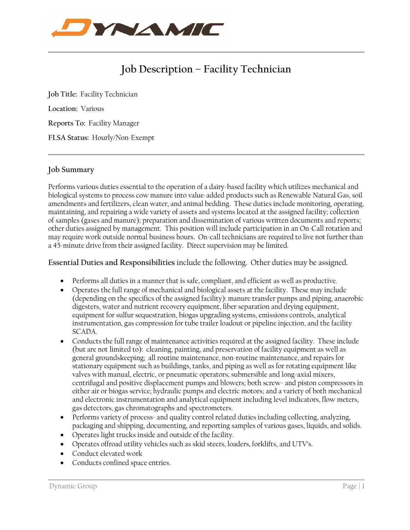

# **Job Description – Facility Technician**

**Job Title:** Facility Technician **Location:** Various **Reports To:** Facility Manager **FLSA Status:** Hourly/Non-Exempt

## **Job Summary**

Performs various duties essential to the operation of a dairy-based facility which utilizes mechanical and biological systems to process cow manure into value-added products such as Renewable Natural Gas, soil amendments and fertilizers, clean water, and animal bedding. These duties include monitoring, operating, maintaining, and repairing a wide variety of assets and systems located at the assigned facility; collection of samples (gases and manure); preparation and dissemination of various written documents and reports; other duties assigned by management. This position will include participation in an On-Call rotation and may require work outside normal business hours. On-call technicians are required to live not further than a 45-minute drive from their assigned facility. Direct supervision may be limited.

#### **Essential Duties and Responsibilities** include the following. Other duties may be assigned.

- Performs all duties in a manner that is safe, compliant, and efficient as well as productive.
- Operates the full range of mechanical and biological assets at the facility. These may include (depending on the specifics of the assigned facility): manure transfer pumps and piping, anaerobic digesters, water and nutrient recovery equipment, fiber separation and drying equipment, equipment for sulfur sequestration, biogas upgrading systems, emissions controls, analytical instrumentation, gas compression for tube trailer loadout or pipeline injection, and the facility SCADA.
- Conducts the full range of maintenance activities required at the assigned facility. These include (but are not limited to): cleaning, painting, and preservation of facility equipment as well as general groundskeeping; all routine maintenance, non-routine maintenance, and repairs for stationary equipment such as buildings, tanks, and piping as well as for rotating equipment like valves with manual, electric, or pneumatic operators; submersible and long-axial mixers, centrifugal and positive displacement pumps and blowers; both screw- and piston compressors in either air or biogas service; hydraulic pumps and electric motors; and a variety of both mechanical and electronic instrumentation and analytical equipment including level indicators, flow meters, gas detectors, gas chromatographs and spectrometers.
- Performs variety of process- and quality control related duties including collecting, analyzing, packaging and shipping, documenting, and reporting samples of various gases, liquids, and solids.
- Operates light trucks inside and outside of the facility.
- Operates offroad utility vehicles such as skid steers, loaders, forklifts, and UTV's.
- Conduct elevated work
- Conducts confined space entries.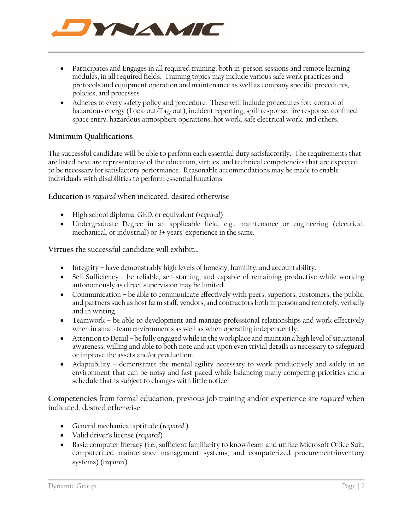

- Participates and Engages in all required training, both in-person sessions and remote learning modules, in all required fields. Training topics may include various safe work practices and protocols and equipment operation and maintenance as well as company specific procedures, policies, and processes.
- Adheres to every safety policy and procedure. These will include procedures for: control of hazardous energy (Lock-out/Tag-out), incident reporting, spill response, fire response, confined space entry, hazardous atmosphere operations, hot work, safe electrical work, and others.

## **Minimum Qualifications**

The successful candidate will be able to perform each essential duty satisfactorily. The requirements that are listed next are representative of the education, virtues, and technical competencies that are expected to be necessary for satisfactory performance. Reasonable accommodations may be made to enable individuals with disabilities to perform essential functions.

**Education** is *required* when indicated, desired otherwise

- High school diploma, GED, or equivalent (*required*)
- Undergraduate Degree in an applicable field, e.g., maintenance or engineering (electrical, mechanical, or industrial) or 3+ years' experience in the same.

**Virtues** the successful candidate will exhibit…

- Integrity have demonstrably high levels of honesty, humility, and accountability.
- Self-Sufficiency be reliable, self-starting, and capable of remaining productive while working autonomously as direct supervision may be limited.
- Communication be able to communicate effectively with peers, superiors, customers, the public, and partners such as host farm staff, vendors, and contractors both in person and remotely, verbally and in writing.
- Teamwork be able to development and manage professional relationships and work effectively when in small-team environments as well as when operating independently.
- Attention to Detail be fully engaged while in the workplace and maintain a high level of situational awareness, willing and able to both note and act upon even trivial details as necessary to safeguard or improve the assets and/or production.
- Adaptability demonstrate the mental agility necessary to work productively and safely in an environment that can be noisy and fast paced while balancing many competing priorities and a schedule that is subject to changes with little notice.

**Competencies** from formal education, previous job training and/or experience are *required* when indicated, desired otherwise

- General mechanical aptitude (r*equired*.)
- Valid driver's license (*required*)
- Basic computer literacy (i.e., sufficient familiarity to know/learn and utilize Microsoft Office Suit, computerized maintenance management systems, and computerized procurement/inventory systems) (*required*)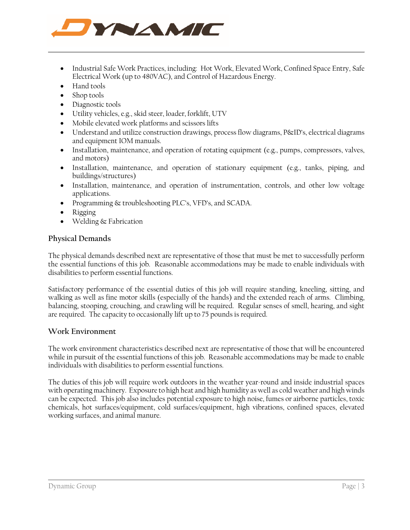

- Industrial Safe Work Practices, including: Hot Work, Elevated Work, Confined Space Entry, Safe Electrical Work (up to 480VAC), and Control of Hazardous Energy.
- Hand tools
- Shop tools
- Diagnostic tools
- Utility vehicles, e.g., skid steer, loader, forklift, UTV
- Mobile elevated work platforms and scissors lifts
- Understand and utilize construction drawings, process flow diagrams, P&ID's, electrical diagrams and equipment IOM manuals.
- Installation, maintenance, and operation of rotating equipment (e.g., pumps, compressors, valves, and motors)
- Installation, maintenance, and operation of stationary equipment (e.g., tanks, piping, and buildings/structures)
- Installation, maintenance, and operation of instrumentation, controls, and other low voltage applications.
- Programming  $\&$  troubleshooting PLC's, VFD's, and SCADA.
- Rigging
- Welding & Fabrication

#### **Physical Demands**

The physical demands described next are representative of those that must be met to successfully perform the essential functions of this job. Reasonable accommodations may be made to enable individuals with disabilities to perform essential functions.

Satisfactory performance of the essential duties of this job will require standing, kneeling, sitting, and walking as well as fine motor skills (especially of the hands) and the extended reach of arms. Climbing, balancing, stooping, crouching, and crawling will be required. Regular senses of smell, hearing, and sight are required. The capacity to occasionally lift up to 75 pounds is required.

#### **Work Environment**

The work environment characteristics described next are representative of those that will be encountered while in pursuit of the essential functions of this job. Reasonable accommodations may be made to enable individuals with disabilities to perform essential functions.

The duties of this job will require work outdoors in the weather year-round and inside industrial spaces with operating machinery. Exposure to high heat and high humidity as well as cold weather and high winds can be expected. This job also includes potential exposure to high noise, fumes or airborne particles, toxic chemicals, hot surfaces/equipment, cold surfaces/equipment, high vibrations, confined spaces, elevated working surfaces, and animal manure.